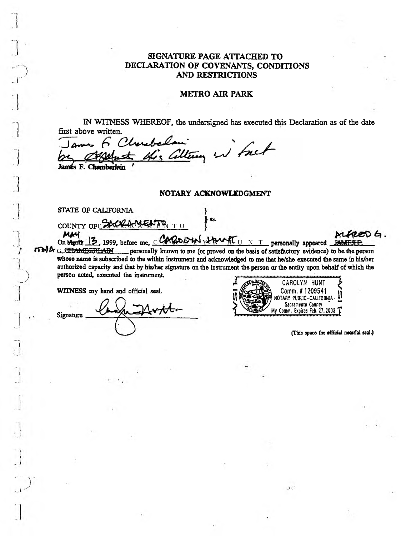#### **METRO AIR PARK**

**IN WITNESS WHEREOF, the undersigned has executed this Declaration as of the date first above written.**

6 Chamberlai by Oblant this Cilleun w fact

## **NOTARY ACKNOWLEDGMENT**

|  | STATE OF CALIFORNIA                                                                                                   |       |         |
|--|-----------------------------------------------------------------------------------------------------------------------|-------|---------|
|  | COUNTY OFF SACRAMENTRY TO                                                                                             | ₿ SS. |         |
|  | mm                                                                                                                    |       | MARED G |
|  | On Month 13, 1999, before me, CORROGHN, the Little UNI personally appeared HAMRED                                     |       |         |
|  | $\text{grad}A_G$ CHAMBERIAN personally known to me (or proved on the basis of satisfactory evidence) to be the person |       |         |
|  | whose name is subscribed to the within instrument and acknowledged to me that he/she executed the same in his/her     |       |         |
|  | authorized capacity and that by his/her signature on the instrument the person or the entity upon behalf of which the |       |         |
|  | person acted, executed the instrument.                                                                                |       |         |

WITNESS my hand and official seal.

キニー

Signature



 $\mathcal{F}^{(1)}$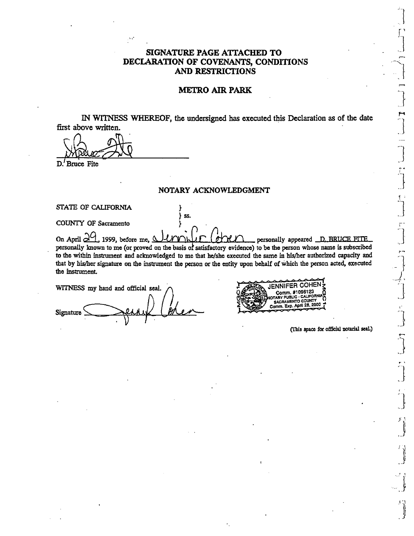## **METRO AIR PARK**

IN WITNESS WHEREOF, the undersigned has executed this Declaration as of the date first above written.

D. Bruce Fite

## NOTARY ACKNOWLEDGMENT

} ss.

STATE OF CALIFORNIA

COUNTY OF Sacramento

On April  $24$ , 1999, before me, JUNNLIC (on  $\ell$  personally appeared D. BRUCE FITE personally known to me (or proved on the basis of satisfactory evidence) to be the person whose name is subscribed to the within instrument and acknowledged to me that he/she executed the same in his/her authorized capacity and that by his/her signature on the instrument the person or the entity upon behalf of which the person acted, executed the instrument.

WITNESS my hand and official seal. Signature

JENNIFER COHEI Comm. #1096123 OTARY PUBLIC - CALIFORNIA<br>SACRAMENTO COUNTY<br>Comm. Exp. April 28, 2000 CALIFORNI

(This space for official notarial seal.)

 $\overline{\overline{a}}$ 

Friday C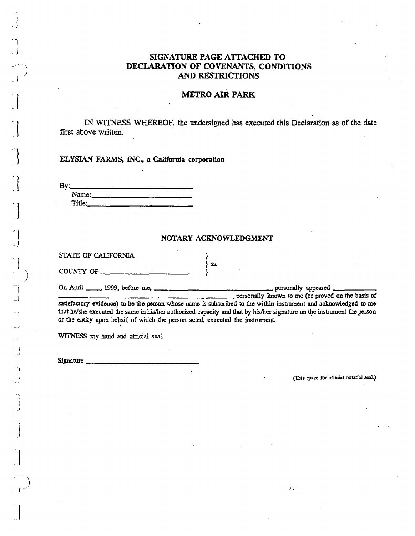# **METRO AIR PARK**

IN WITNESS WHEREOF, the undersigned has executed this Declaration as of the date first above written.

## ELYSIAN FARMS, INC., a California corporation

| By:    |  |
|--------|--|
| Name:  |  |
| Title: |  |

 $\frac{1}{2}$ 

 $\overline{\phantom{a}}$ 

#### NOTARY ACKNOWLEDGMENT

| STATE OF CALIFORNIA |       |  |
|---------------------|-------|--|
|                     | ∤ SS. |  |
| COUNTY OF           |       |  |

On A pril , 1999, before m e , personally appeared\_ \_\_\_\_ \_\_\_\_\_\_\_\_\_\_\_\_\_\_\_\_\_\_\_\_\_\_\_\_\_\_\_\_\_\_\_\_\_\_\_\_\_ \_\_\_\_\_\_\_\_\_\_\_\_\_ **personally known to me (or proved on the basis of** satisfactory evidence) to be the person whose name is subscribed to the within instrument and acknowledged to me that he/she executed the same in his/her authorized capacity and that by his/her signature on the instrument the person or the entity upon behalf of which the person acted, executed the instrument.

WITNESS my hand and official seal.

Signature

(This space for official notarial seal.)

 $\sim$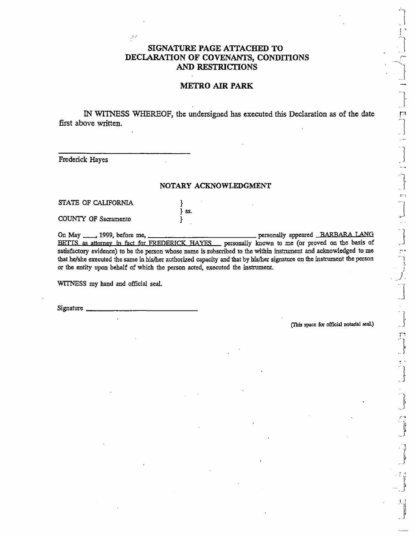## **METRO AIR PARK**

IN WITNESS WHEREOF, the undersigned has executed this Declaration as of the date first above written.

Frederick Hayes

#### NOTARY ACKNOWLEDGMENT

} ss.

 $\mathbf{\}$ 

STATE OF CALIFORNIA

COUNTY OF Sacramento

On M ay , 1999, before m e, \_\_\_\_ \_\_\_\_\_\_\_\_\_\_\_\_\_\_\_\_\_\_\_\_\_\_\_\_\_\_\_\_\_\_\_\_\_ personally appeared BARBARA LANG BETTS as attorney in fact for FREDERICK HAYES personally known to me (or proved on the basis of satisfactory evidence) to be the person whose name is subscribed to the within instrument and acknowledged to me that he/she executed the same in his/her authorized capacity and that by his/her signature on the instrument the person or the entity upon behalf of which the person acted, executed the instrument.

WITNESS my hand and official seal.

Signature

(This space for official notarial seal.)

J 戸 ]<br>「 ]<br>「 ]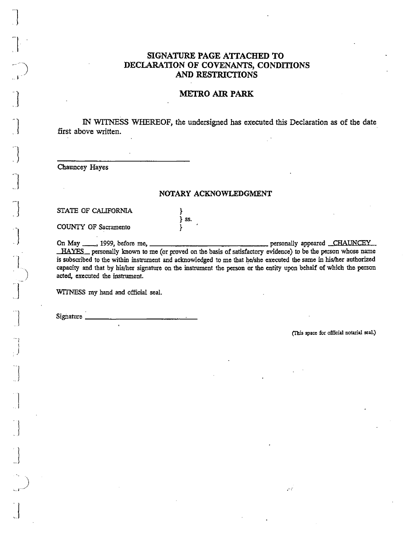## **METRO AIR PARK**

IN WITNESS WHEREOF, the undersigned has executed this Declaration as of the date first above written.

Chauncey Hayes

 $\frac{1}{\sqrt{2}}$ 

 $\overline{\mathcal{L}}$ 

 $\cdot$ 

i Si<br>San

#### NOTARY ACKNOWLEDGMENT

} ss.

}

STATE OF CALIFORNIA

COUNTY OF Sacramento

On M ay , 1999, before m e, \_\_\_\_ \_\_\_\_\_\_\_\_\_\_\_\_\_\_\_\_\_\_\_\_\_\_\_\_\_\_\_\_\_\_\_\_\_\_\_\_\_personally appeared CHAUNCEY HAYES personally known to me (or proved on the basis of satisfactory evidence) to be the person whose name is subscribed to the within instrument and acknowledged to me that he/she executed the same in his/her authorized capacity and that by his/her signature on the instrument the person or the entity upon behalf of which the person acted, executed the instrument.

WITNESS my hand and official seal.

Signature.

(This space for official notarial seal.)

 $\mathbf{r}^{(1)}$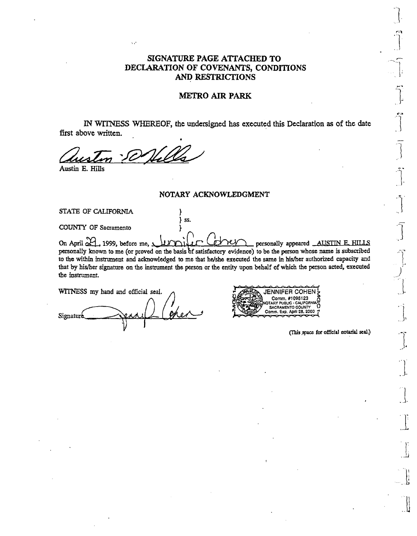# **METRO AIR PARK**

**IN WITNESS WHEREOF, the undersigned has executed this Declaration as of the date first above written.**

 $\mathcal{N}_{\mathcal{X}}$ 

Austin E. Hills

## NOTARY ACKNOWLEDGMENT

} ss.

ł

STATE OF CALIFORNIA

COUNTY OF Sacramento

On April  $\mathcal{X}$ , 1999, before me, *JUN* if  $\mathcal{X}$  ( $\mathcal{X}$  ersonally appeared AUSTIN E. HILLS personally known to me (or proved on the basis of satisfactory evidence) to be the person whose name is subscribed to the within instrument and acknowledged to me that he/she executed the same in his/her authorized capacity and that by his/her signature on the instrument the person or the entity upon behalf of which the person acted, executed the instrument.

WITNESS my hand and official seal.  $\alpha$ Signature

**JENNIFER COHE** Comm. #1096123 Comm. #1096123<br>TARY PUBLIC - CALIFORNIAO<br>SACRAMENTO COUNTY SACRAMENTO COUNTY Comm. Exp. April 28, 2000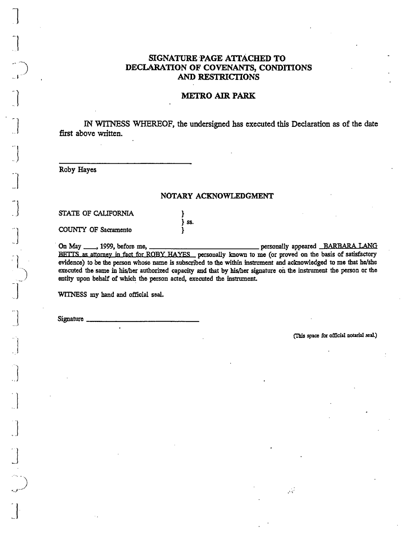## **METRO AIR PARK**

IN WITNESS WHEREOF, the undersigned has executed this Declaration as of the date first above written.

Roby Hayes

 $\begin{bmatrix} 1 \\ 1 \\ 1 \\ 2 \end{bmatrix}$ 

#### NOTARY ACKNOWLEDGMENT

} ss.<br>}

Ł

STATE OF CALIFORNIA

COUNTY OF Sacramento

personally appeared BARBARA LANG BETTS as attorney in fact for ROBY HAYES personally known to me (or proved on the basis of satisfactory evidence) to be the person whose name is subscribed to the within instrument and acknowledged to me that he/she executed the same in his/her authorized capacity and that by his/her signature on the instrument the person or the entity upon behalf of which the person acted, executed the instrument. On May \_\_\_\_\_, 1999, before me,

WITNESS my hand and official seal.

Signature.

(This space for official notarial seal.)

 $\mathcal{L}^{\frac{1}{2}}$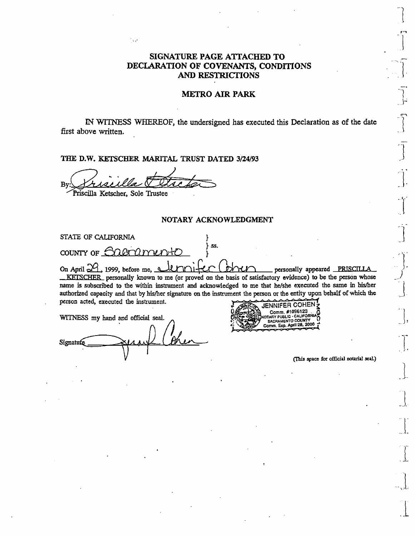# **METRO AIR PARK**

IN WITNESS WHEREOF, the undersigned has executed this Declaration as of the date first above written.

#### THE D.W. KETSCHER MARITAL TRUST DATED 3/24/93

*By:*

 $\mathcal{F}_{\mathcal{L},\mathcal{P}}$ 

Priscilla Ketscher, Sole Trustee

#### NOTARY ACKNOWLEDGMENT

ss.

STATE OF CALIFORNIA  $\operatorname{conv}$  or  $\operatorname{\mathsf{C}}\Omega$  and  $\operatorname{\mathsf{C}}\nolimits$ 

On April  $24$ , 1999, before me, Unn i febre Cohen personally appeared PRISCILLA KETSCHER personally known to me (or proved on the basis of satisfactory evidence) to be the person whose name is subscribed to the within instrument and acknowledged to me that he/she executed the same in his/her authorized capacity and that by his/her signature on the instrument the person or the entity upon behalf of which the person acted, executed the instrument.

WITNESS my hand and official seal.

Signatur

**JENNIFER COHEN** Comm. #1096123 Comm. #1096123<br>TARY PUBLIC - CALIFORNIAO SACRAMENTO COUNTY Comm. Exp. April 28, 2000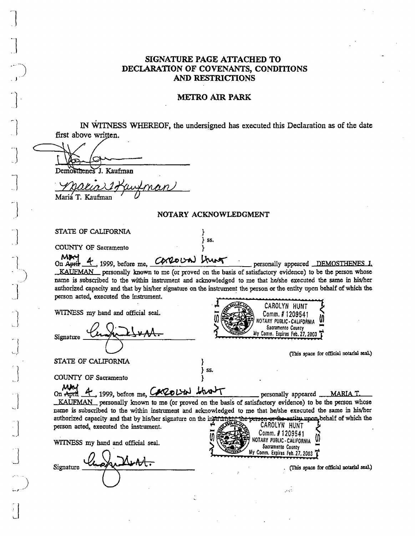## **METRO AIR PARK**

IN WITNESS WHEREOF, the undersigned has executed this Declaration as of the date first above written.

Demosthenes J. Kaufman

Inan Maria T. Kaufman

#### NOTARY ACKNOWLEDGMENT

} ss.

STATE OF CALIFORNIA

COUNTY OF Sacramento

On April 4, 1999, before me, CONDOU and Lives of the personally appeared DEMOSTHENES J. KAUFMAN personally known to me (or proved on the basis of satisfactory evidence) to be the person whose name is subscribed to the within instrument and acknowledged to me that he/she executed the same in his/her authorized capacity and that by his/her signature on the instrument the person or the entity upon behalf of which the person acted, executed the instrument.

WITNESS my hand and official seal.

Signature

**MR-**

STATE OF CALIFORNIA

CAROLYN HUNT Comm. #1209541 NOTARY PUBLIC - CALIFORNIA Sacramento County My Comm. Expires Feb. 27, 2003

(This space for official notarial seal.)

COUNTY OF Sacramento

On April 4, 1999, before me, CAZOLYN HWAT personally appeared MARIA T. KAUFMAN personally known to me (or proved on the basis of satisfactory evidence) to be the person whose name is subscribed to the within instrument and acknowledged to me that he/she executed the same in his/her authorized capacity and that by his/her signature on the instrument the person or the entity upon behalf of which the person acted, executed the instrument. person acted, executed the instrument.

} ss.

WITNESS my hand and official seal.

 $Signature$  (This space for official notarial seal.)

Comm. #1209541 NOTARY PUBLIC - CALIFORNIA Sacramento County My Comm. Expires Feb. 27, 2003

 $\sim 10^4$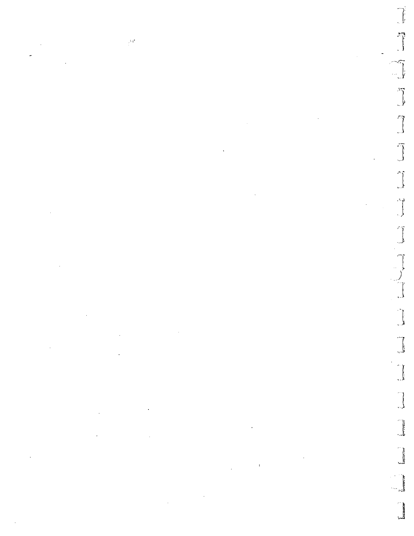$\label{eq:2.1} \begin{split} \mathcal{D}^{\text{R}}_{\text{max}} = \mathcal{D}^{\text{R}}_{\text{max}} \end{split}$ 

 $\label{eq:2.1} \frac{1}{\sqrt{2}}\sum_{i=1}^n\frac{1}{\sqrt{2}}\sum_{i=1}^n\frac{1}{\sqrt{2}}\sum_{i=1}^n\frac{1}{\sqrt{2}}\sum_{i=1}^n\frac{1}{\sqrt{2}}\sum_{i=1}^n\frac{1}{\sqrt{2}}\sum_{i=1}^n\frac{1}{\sqrt{2}}\sum_{i=1}^n\frac{1}{\sqrt{2}}\sum_{i=1}^n\frac{1}{\sqrt{2}}\sum_{i=1}^n\frac{1}{\sqrt{2}}\sum_{i=1}^n\frac{1}{\sqrt{2}}\sum_{i=1}^n\frac$ 

 $\label{eq:2.1} \mathcal{L}(\mathcal{L}^{\text{max}}_{\text{max}}(\mathcal{L}^{\text{max}}_{\text{max}}))\leq \frac{1}{2} \sum_{i=1}^{2} \frac{1}{\sqrt{2}} \sum_{i=1}^{2} \frac{1}{\sqrt{2}} \sum_{i=1}^{2} \frac{1}{\sqrt{2}} \sum_{i=1}^{2} \frac{1}{\sqrt{2}} \sum_{i=1}^{2} \frac{1}{\sqrt{2}} \sum_{i=1}^{2} \frac{1}{\sqrt{2}} \sum_{i=1}^{2} \frac{1}{\sqrt{2}} \sum_{i=1}^{2} \frac{1}{\sqrt{$ 

 $\label{eq:2.1} \frac{1}{\sqrt{2}}\int_{\mathbb{R}^3}\frac{1}{\sqrt{2}}\left(\frac{1}{\sqrt{2}}\right)^2\frac{1}{\sqrt{2}}\left(\frac{1}{\sqrt{2}}\right)^2\frac{1}{\sqrt{2}}\left(\frac{1}{\sqrt{2}}\right)^2\frac{1}{\sqrt{2}}\left(\frac{1}{\sqrt{2}}\right)^2\frac{1}{\sqrt{2}}\left(\frac{1}{\sqrt{2}}\right)^2\frac{1}{\sqrt{2}}\frac{1}{\sqrt{2}}\frac{1}{\sqrt{2}}\frac{1}{\sqrt{2}}\frac{1}{\sqrt{2}}\frac{1}{\sqrt{2}}$ 

 $\label{eq:2} \frac{1}{\sqrt{2}}\sum_{i=1}^n\frac{1}{\sqrt{2}}\sum_{i=1}^n\frac{1}{\sqrt{2}}\sum_{i=1}^n\frac{1}{\sqrt{2}}\sum_{i=1}^n\frac{1}{\sqrt{2}}\sum_{i=1}^n\frac{1}{\sqrt{2}}\sum_{i=1}^n\frac{1}{\sqrt{2}}\sum_{i=1}^n\frac{1}{\sqrt{2}}\sum_{i=1}^n\frac{1}{\sqrt{2}}\sum_{i=1}^n\frac{1}{\sqrt{2}}\sum_{i=1}^n\frac{1}{\sqrt{2}}\sum_{i=1}^n\frac{1$ 

 $\label{eq:2.1} \frac{1}{\sqrt{2\pi}}\int_{0}^{\infty}\frac{1}{\sqrt{2\pi}}\left(\frac{1}{\sqrt{2\pi}}\right)^{2}d\mu\,d\mu\,.$ 

 $\begin{pmatrix} 1 & 1 & 1 \\ 1 & 1 & 1 \\ 1 & 1 & 1 \\ 1 & 1 & 1 \\ 1 & 1 & 1 \\ 1 & 1 & 1 \\ 1 & 1 & 1 \\ 1 & 1 & 1 \\ 1 & 1 & 1 \\ 1 & 1 & 1 \\ 1 & 1 & 1 \\ 1 & 1 & 1 \\ 1 & 1 & 1 \\ 1 & 1 & 1 \\ 1 & 1 & 1 \\ 1 & 1 & 1 \\ 1 & 1 & 1 \\ 1 & 1 & 1 \\ 1 & 1 & 1 \\ 1 & 1 & 1 \\ 1 & 1 & 1 \\ 1 & 1 & 1 \\ 1 & 1 & 1 \\ 1 & 1 &$ 

 $\label{eq:2.1} \frac{1}{\sqrt{2}}\sum_{i=1}^n\frac{1}{\sqrt{2}}\sum_{i=1}^n\frac{1}{\sqrt{2}}\sum_{i=1}^n\frac{1}{\sqrt{2}}\sum_{i=1}^n\frac{1}{\sqrt{2}}\sum_{i=1}^n\frac{1}{\sqrt{2}}\sum_{i=1}^n\frac{1}{\sqrt{2}}\sum_{i=1}^n\frac{1}{\sqrt{2}}\sum_{i=1}^n\frac{1}{\sqrt{2}}\sum_{i=1}^n\frac{1}{\sqrt{2}}\sum_{i=1}^n\frac{1}{\sqrt{2}}\sum_{i=1}^n\frac$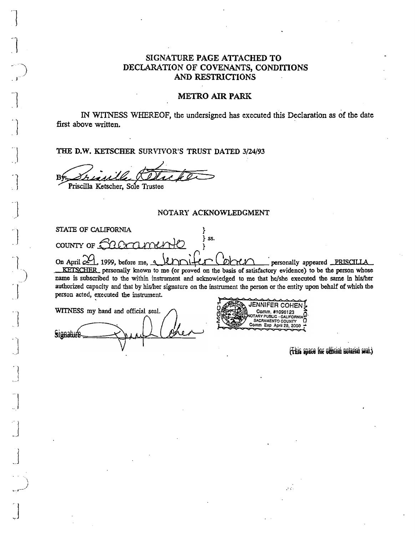## **METRO AIR PARK**

IN WITNESS WHEREOF, the undersigned has executed this Declaration as of the date first above written.

#### THE D.W. KETSCHER SURVIVOR'S TRUST DATED 3/24/93

Priscilla Ketscher, Sole Trustee

STATE OF CALIFORNIA

#### NOTARY ACKNOWLEDGMENT

COUNTY OF <u>Calment</u> ss. On April  $e^{i\lambda}$ , 1999, before me,  $\lambda$  kn  $\lambda$  +  $\lambda$   $\lambda$  extra  $\lambda$  personally appeared PRISCILLA KETSCHER personally known to me (or proved on the basis of satisfactory evidence) to be the person whose name is subscribed to the within instrument and acknowledged to me that he/she executed the same in his/her authorized capacity and that by his/her signature on the instrument the person or the entity upon behalf of which the person acted, executed the instrument.

WITNESS my hand and official seal. **Signatur** 

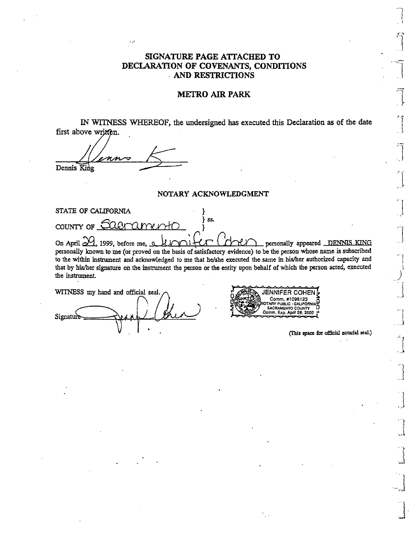# **METRO AIR PARK**

IN WITNESS WHEREOF, the undersigned has executed this Declaration as of the date first above written.

Dennis King

 $\sim$   $\sigma$ 

#### NOTARY ACKNOWLEDGMENT

STATE OF CALIFORNIA COUNTY OF **SOLUT** ss. On April  $M$ , 1999, before me, <u>a kimmit for control personally</u> appeared DENNIS KING

personally known to me (or proved on the basis of satisfactory evidence) to be the person whose name is subscribed to the within instrument and acknowledged to me that he/she executed the same in his/her authorized capacity and that by his/her signature on the instrument the person or the entity upon behalf of which the person acted, executed the instrument.

WITNESS my hand and official seal. Signature

JENNIFER COHE Comm. #1096123 TARY PUBLIC - CALIFOR Comm. Exp. April 28, 2000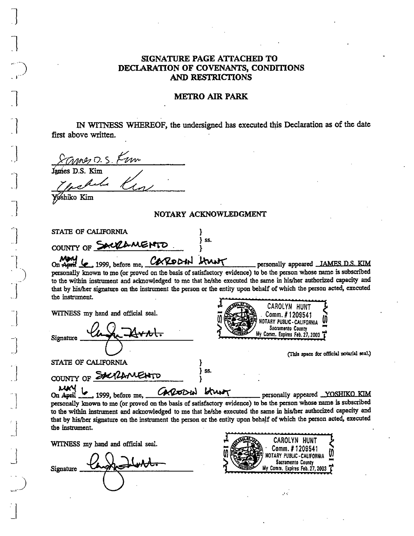## **METRO AIR PARK**

IN WETNESS WHEREOF, the undersigned has executed this Declaration as of the date first above written.

James D.S. Kim

Yoshiko Kim

#### NOTARY ACKNOWLEDGMENT

| STATE OF CALIFORNIA  |                                |  |       |
|----------------------|--------------------------------|--|-------|
| COUNTY OF SAURAMENTO |                                |  | } ss. |
|                      | May 1000 before me CARDD-1N UW |  |       |

On April (e., 1999, before me, CAYLOLYN HUNT) personally appeared JAMES D.S. KIM personally known to me (or proved on the basis of satisfactory evidence) to be the person whose name is subscribed to the within instrument and acknowledged to me that he/she executed the same in his/her authorized capacity and that by His/her signature on the instrument the person or the entity upon behalf of which the person acted, executed the instrument.

WITNESS my hand and official seal.

Signature

STATE OF CALIFORNIA

CAROLYN HUNT Comm. #1209541 TARY PUBLIC - CALIFORNIA Sacramento County My Comm. Expires Feb. 27, 2003

(This space for official notarial seal.)

COUNTY OF SACRAMENTO

On April 6, 1999, before me, **CAROLYN KUNT** personally appeared YOSHIKO KIM

personally known to me (or proved on the basis of satisfactory evidence) to be the person whose name is subscribed to the within instrument and acknowledged to me that he/she executed the same in his/her authorized capacity and that by his/her signature on the instrument the person or the entity upon behalf of which the person acted, executed the instrument.

} ss.

WITNESS my hand and official seal.

Signature \_



 $\mathcal{E}^{(1)}$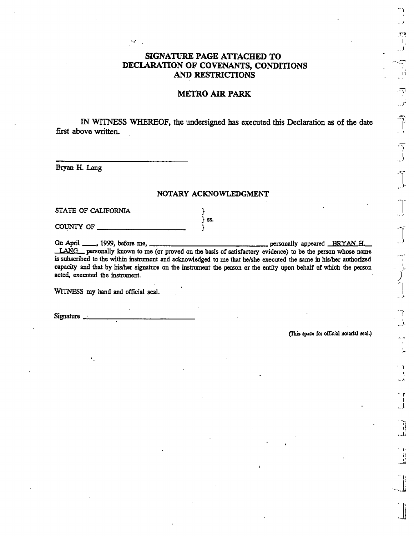## **METRO AIR PARK**

IN WITNESS WHEREOF, the undersigned has executed this Declaration as of the date first above written.

Bryan H. Lang

#### NOTARY ACKNOWLEDGMENT

} ss

ł

STATE OF CALIFORNIA

COUNTY OF

 $\sim$   $\sigma$ 

On A pril , 1999, before m e, \_\_\_\_ \_\_\_\_\_\_\_\_\_\_\_\_\_\_\_\_\_\_\_\_\_\_\_\_\_\_\_\_\_\_\_\_\_\_\_\_ personally appeared BRYAN H. LANG personally known to me (or proved on the basis of satisfactory evidence) to be the person whose name is subscribed to the within instrument and acknowledged to me that he/she executed the same in his/her authorized capacity and that by his/her signature on the instrument the person or the entity upon behalf of which the person acted, executed the instrument.

WITNESS my hand and official seal.

Signature \_

(This space for official notarial seal.)

 $\frac{1}{\sqrt{1-\frac{1}{2}}}$ 

 $\begin{matrix} \vdots \\ \vdots \\ \vdots \end{matrix}$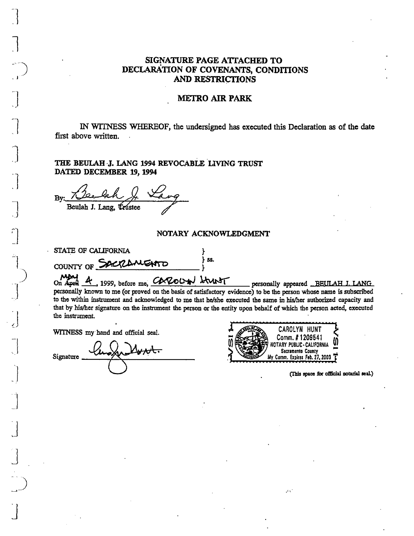# **METRO AIR PARK**

IN WITNESS WHEREOF, the undersigned has executed this Declaration as of the date first above written.

THE BEULAH J. LANG 1994 REVOCABLE LIVING TRUST DATED DECEMBER 19,1994

Bv: Beulah J. Lang, Trustee

#### NOTARY ACKNOWLEDGMENT

*}* ss.

STATE OF CALIFORNIA

COUNTY OF SACRAMENTO

4, 1999, before me, CAROLYN HUNT personally appeared BEULAH J. LANG On April personally known to me (or proved on the basis of satisfactory evidence) to be the person whose name is subscribed to the within instrument and acknowledged to me that he/she executed the same in his/her authorized capacity and that by his/her signature on the instrument the person or the entity upon behalf of which the person acted, executed the instrument.

WITNESS my hand and official seal.

 $w$ Signature



 $\mathbf{r}$  .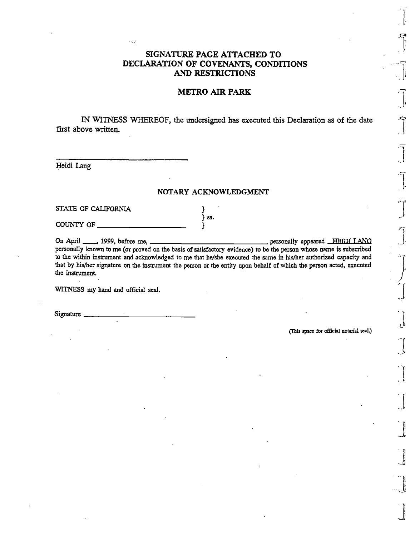## **METRO AIR PARK**

IN WITNESS WHEREOF, the undersigned has executed this Declaration as of the date first above written.

Heidi Lang

#### NOTARY ACKNOWLEDGMENT

ss.

STATE OF CALIFORNIA

COUNTY OF

 $\sim$  10

On A pril , 1999, before m e,\_\_\_\_\_\_\_\_\_\_\_\_\_\_\_\_\_\_\_\_\_\_\_\_\_\_\_\_\_\_\_\_\_\_\_personally appeared HEIDI LANG personally known to me (or proved on the basis of satisfactory evidence) to be the person whose name is subscribed to the within instrument and acknowledged to me that he/she executed the same in his/her authorized capacity and that by his/her signature on the instrument the person or the entity upon behalf of which the person acted, executed the instrument.

WITNESS my hand and official seal.

Signature.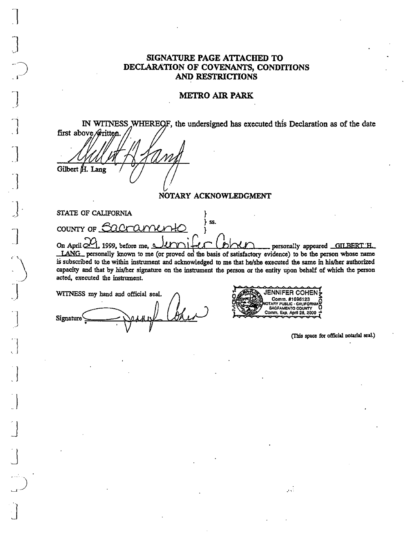## **METRO AIR PARK**

IN WITNESS WHEREOF, the undersigned has executed this Declaration as of the date first above written.

Gilbert H. Lang

## NOTARY ACKNOWLEDGMENT

} ss.

STATE OF CALIFORNIA

 $\frac{1}{\sqrt{2}}$ 

 $\overline{\mathcal{L}}$ 

COUNTY OF <u>Sacr</u>a

On April 24, 1999, before me, JUNIFERT CONUM personally appeared GILBERT H. LANG personally known to me (or proved on the basis of satisfactory evidence) to be the person whose name is subscribed to the within instrument and acknowledged to me that he/she executed the same in his/her authorized capacity and that by his/her signature on the instrument the person or the entity upon behalf of which the person acted, executed the instrument.

WITNESS my hand and official seal. Jul Signature

**JENNIFER COHEN** Comm. #1096123 ®<br>הייש **NOTARY PUBLIC - CALIFORNIA**<br>SACRAMENTO COUNTY<br>Comm, Exp. April 28, 2000

a d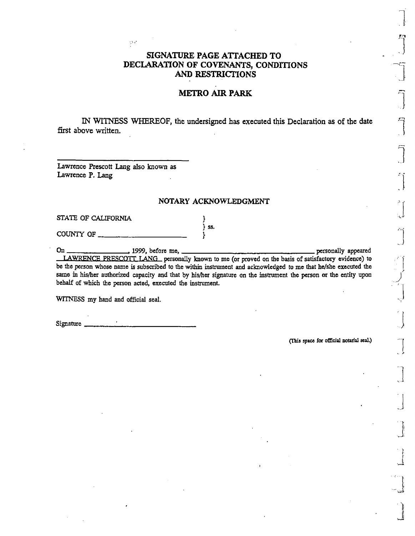# **METRO AIR PARK**

IN WITNESS WHEREOF, the undersigned has executed this Declaration as of the date first above written.

Lawrence Prescott Lang also known as Lawrence P. Lang

 $\mathcal{O}(\mathcal{C})$ 

#### NOTARY ACKNOWLEDGMENT

STATE OF CALIFORNIA

COUNTY O F } ss.

O n\_\_\_\_\_\_\_\_\_\_\_\_\_\_\_\_\_\_, 1999, before m e,\_\_\_\_\_\_\_\_\_\_\_\_\_\_\_\_\_\_\_\_\_\_\_\_\_\_\_\_\_\_\_\_\_\_\_\_\_\_\_ personally appeared LAWRENCE PRESCOTT LANG personally known to me (or proved on the basis of satisfactory evidence) to be the person whose name is subscribed to the within instrument and acknowledged to me that he/she executed the same in his/her authorized capacity and that by his/her signature on the instrument the person or the entity upon behalf of which the person acted, executed the instrument.

WITNESS my hand and official seal.

Signature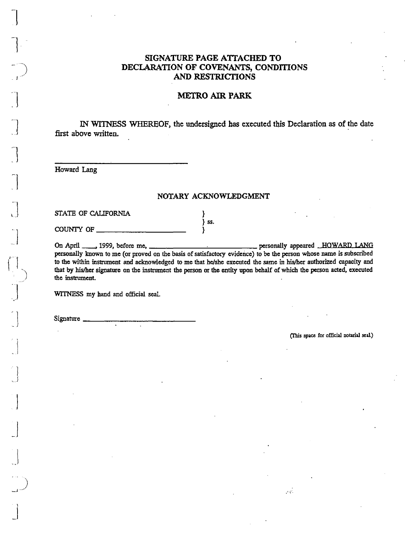## **METRO AIR PARK**

IN WITNESS WHEREOF, the undersigned has executed this Declaration as of the date first above written.

Howard Lang

 $\frac{1}{2}$ 

## NOTARY ACKNOWLEDGMENT

ss.

ł

STATE OF CALIFORNIA

COUNTY OF  $\qquad \qquad$  }

personally appeared HOWARD LANG personally known to me (or proved on the basis of satisfactory evidence) to be the person whose name is subscribed to the within instrument and acknowledged to me that he/she executed the same in his/her authorized capacity and that by his/her signature on the instrument the person or the entity upon behalf of which the person acted, executed the instrument. On April 1999, before me, \_\_\_\_

WITNESS my hand and official seal.

Signature \_

(This space for official notarial seal.)

 $\mathcal{A}_{\mathcal{A}}$  .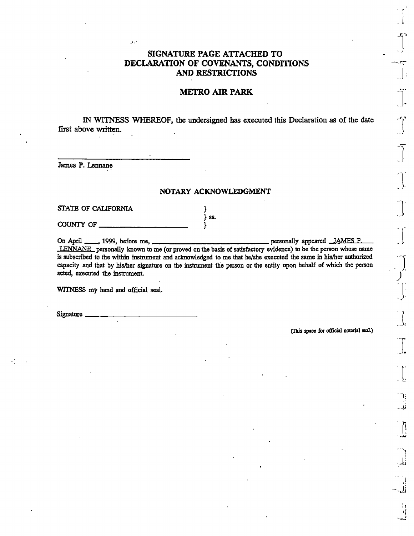## **METRO AIR PARK**

IN WITNESS WHEREOF, the undersigned has executed this Declaration as of the date first above written.

James P. Lennane

#### NOTARY ACKNOWLEDGMENT

ss.

STATE OF CALIFORNIA

COUNTY OF

 $\sim$   $^{\prime}$ 

On April  $\frac{1}{2}$ , 1999, before me,  $\frac{1}{2}$ , personally appeared JAMES P. LENNANE personally known to me (or proved on the basis of satisfactory evidence) to be the person whose name is subscribed to the within instrument and acknowledged to me that he/she executed the same in his/her authorized capacity and that by his/her signature on the instrument the person or the entity upon behalf of which the person acted, executed the instrument. \_\_\_\_\_\_\_\_\_\_\_\_\_\_\_\_\_\_\_\_\_\_\_\_\_\_\_\_\_\_\_\_\_\_

WITNESS my hand and official seal.

Signature \_

(This space for official notarial seal.)

<u>]</u><br>[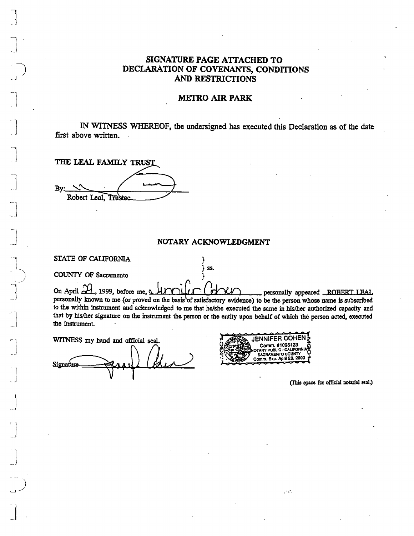# **METRO AIR PARK**

IN WITNESS WHEREOF, the undersigned has executed this Declaration as of the date first above written.

THE LEAL FAMILY TRUST  $By:$ Robert Leal, Trustee

#### NOTARY ACKNOWLEDGMENT

} ss.

STATE OF CALIFORNIA

 $\overline{\mathcal{L}}$ 

COUNTY OF Sacramento

On April 21, 1999, before me, JUNIUM (or Collection constant personally appeared ROBERT LEAL personally known to me (or proved on the basis<sup>1</sup> of satisfactory evidence) to be the person whose name is subscribed to the within instrument and acknowledged to me that he/she executed the same in his/her authorized capacity and that by his/her signature on the instrument the person or the entity upon behalf of which the person acted, executed the instrument.

WITNESS my hand and official seal. Signature

**JENNIFER COHEN!** Comm. #1096123 TARY PUBLIC - CALIFORNIA<br>SACRAMENTO COUNTY Comm. Exp. April 28, 2000

 $\alpha$  ,  $\gamma$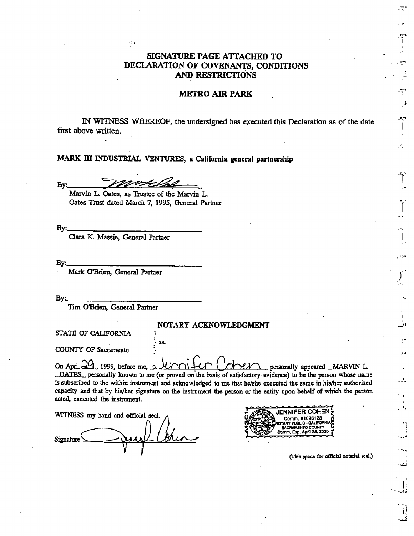# **METRO AIR PARK**

IN WITNESS WHEREOF, the undersigned has executed this Declaration as of the date first above written.

MARK III INDUSTRIAL VENTURES, a California general partnership

By:

z ez

 $\mathbb{R}^3$ 

Marvin L. Oates, as Trustee of the Marvin L. Oates Trust dated March 7, 1995, General Partner

} ss.

ļ

By:

Clara K. Massie, General Partner

 $Bv:$ 

Mark O'Brien, General Partner

By:

Tim O'Brien, General Partner

#### NOTARY ACKNOWLEDGMENT

STATE OF CALIFORNIA

COUNTY OF Sacramento

On April 29, 1999, before me, JUNN for Cohen personally appeared MARVIN L. OATES personally known to me (or proved on the basis of satisfactory evidence) to be the person whose name is subscribed to the within instrument and acknowledged to me that he/she executed the same in his/her authorized capacity and that by his/her signature on the instrument the person or the entity upon behalf of which the person acted, executed the instrument.

WITNESS my hand and official seal. there Signature

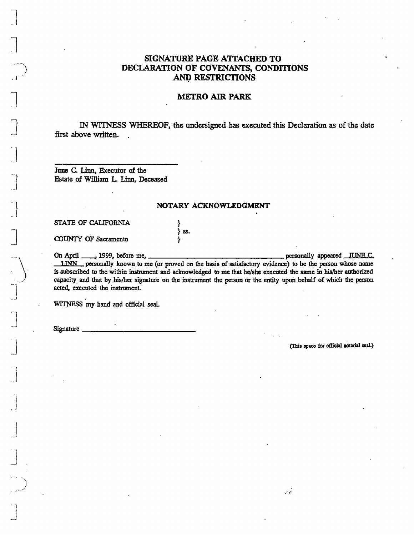## **METRO AIR PARK**

IN WITNESS WHEREOF, the undersigned has executed this Declaration as of the date first above written.

June C. Linn, Executor of the Estate of William L. Linn, Deceased

#### NOTARY ACKNOWLEDGMENT

*}* ss.

STATE OF CALIFORNIA

 $\overline{\mathcal{A}}$ 

ن بار<br>منابع

COUNTY OF Sacramento

On A pril , 1999, before m e, \_\_\_\_ \_\_\_\_\_\_\_\_\_\_\_\_\_\_\_\_\_\_\_\_\_\_\_\_\_\_\_\_\_\_\_\_\_\_\_\_\_\_\_\_\_\_personally appeared JUNE C. LINN personally known to me (or proved on the basis of satisfactory evidence) to be the person whose name is subscribed to the within instrument and acknowledged to me that he/she executed the same in his/her authorized capacity and that by his/her signature on the instrument the person or the entity upon behalf of which the person acted, executed the instrument.

WITNESS my hand and official seal.

Signature.

(This space for official notarial seal.)

 $\mathcal{L}_{\mathrm{c}}$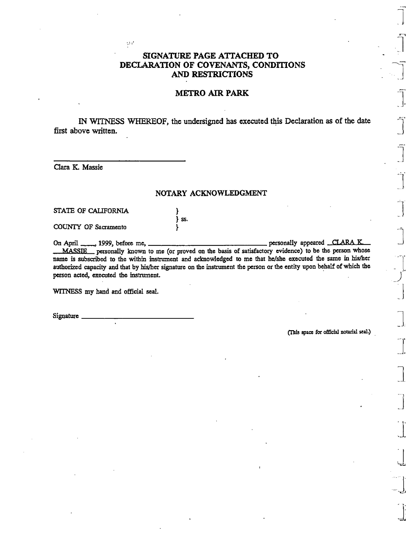## METRO AIR PARK

IN WITNESS WHEREOF, the undersigned has executed this Declaration as of the date first above written.

Clara K. Massie

#### NOTARY ACKNOWLEDGMENT

} ss.

STATE OF CALIFORNIA

COUNTY OF Sacramento

On A pril , 1999, before m e, \_\_\_\_ \_\_\_\_\_\_\_\_\_\_\_\_\_\_\_\_\_\_\_\_\_\_\_\_\_\_\_\_\_\_\_\_\_\_\_\_ personally appeared CLARA, K . MASSIE personally known to me (or proved on the basis of satisfactory evidence) to be the person whose name is subscribed to the within instrument and acknowledged to me that he/she executed the same in his/her authorized capacity and that by his/her signature on the instrument the person or the entity upon behalf of which the person acted, executed the instrument.

WITNESS my hand and official seal.

Signature

 $\mathcal{O}(\epsilon)$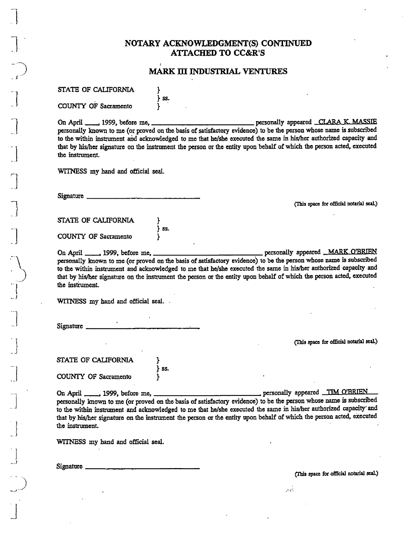## NOTARY ACKNOWLEDGMENT(S) CONTINUED ATTACHED TO CC&R'S

#### MARK III INDUSTRIAL VENTURES

} ss.

ł

} ss.

} ss.

STATE OF CALIFORNIA

COUNTY OF Sacramento

On A pril , 1999, before m e, \_\_\_\_ \_\_\_\_\_\_\_\_\_\_\_\_\_\_\_\_\_\_\_\_\_\_\_\_\_\_\_\_\_\_\_ personally appeared CLARA K. MASSIE personally known to me (or proved on the basis of satisfactory evidence) to be the person whose name is subscribed to the within instrument and acknowledged to me that he/she executed the same in his/her authorized capacity and that by his/her signature on the instrument the person or the entity upon behalf of which the person acted, executed the instrument.

WITNESS my hand and official seal.

Signature.

(This space for official notarial seal.)

STATE OF CALIFORNIA

COUNTY OF Sacramento

On A p ril , 1999, before m e, \_\_\_\_ \_\_\_\_\_\_\_\_\_\_\_\_\_\_\_\_\_\_\_\_\_\_\_\_\_\_\_\_\_\_\_\_\_\_personally appeared MARK O'BRIEN personally known to me (or proved on the basis of satisfactory evidence) to be the person whose name is subscribed to the within instrument and acknowledged to me that he/she executed the same in his/her authorized capacity and that by his/her signature on the instrument the person or the entity upon behalf of which the person acted, executed the instrument.

WITNESS my hand and official seal.

Signature

(This space for official notarial seal.)

STATE OF CALIFORNIA COUNTY OF Sacramento

On A pril , 1999, before m e , \_\_\_\_ \_\_\_\_\_\_\_\_\_\_\_\_\_\_\_\_\_\_\_\_\_\_\_\_\_\_\_\_\_\_\_\_\_ personally appeared TIM O'BRIEN

 $\mathcal{O}(\sqrt{3})$ 

personally known to me (or proved on the basis of satisfactory evidence) to be the person whose name is subscribed to the within instrument and acknowledged to me that he/she executed the same in his/her authorized capacity and that by his/her signature on the instrument the person or the entity upon behalf of which the person acted, executed the instrument.

WITNESS my hand and official seal.

Signature \_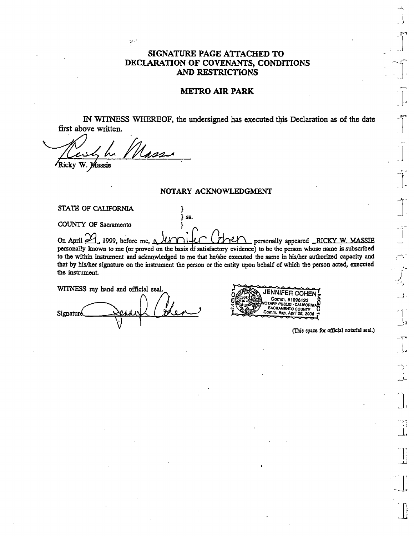#### **METRO AIR PARK**

IN WITNESS WHEREOF, the undersigned has executed this Declaration as of the date first above written.

Nass Ricky W. Massie

 $\sim$   $^{\circ}$ 

#### NOTARY ACKNOWLEDGMENT

} ss.

STATE OF CALIFORNIA

COUNTY OF Sacramento

On April 29, before me, JUMILA CHER personally appeared RICKY W. MASSIE personally known to me (or proved on the basis of satisfactory evidence) to be the person whose name is subscribed to the within instrument and acknowledged to me that he/she executed the same in his/her authorized capacity and that by his/her signature on the instrument the person or the entity upon behalf of which the person acted, executed the instrument

WITNESS my hand and official seal. Signature

**JENNIFER COHE** Comm. #1096123 **NOTARY PUBLIC - CALIFORNIA**<br>SACRAMENTO COUNTY<br>Comm. Exp. April 26, 2000 - CALIFOR 0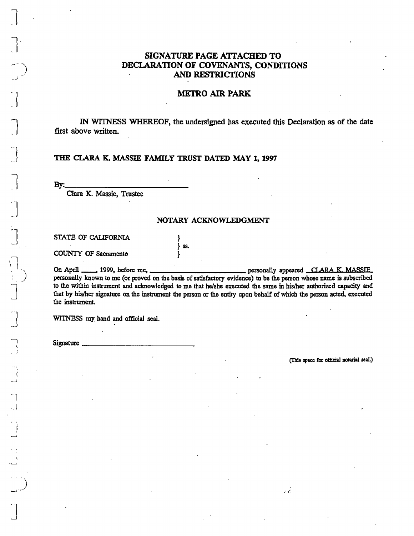## **METRO AIR PARK**

IN WITNESS WHEREOF, the undersigned has executed this Declaration as of the date first above written.

#### THE CLARA K. MASSIE FAMILY TRUST DATED MAY 1, 1997

} } ss.

By:

 $\overline{\mathcal{L}}$ 

ر<br>سال<br>سال

Clara K. Massie, Trustee

#### NOTARY ACKNOWLEDGMENT

STATE OF CALIFORNIA

COUNTY OF Sacramento

On April  $\_\_\_\$  1999, before me,  $\_\_\_\_\_\_\_\$  personally appeared CLARA K. MASSIE personally known to me (or proved on the basis of satisfactory evidence) to be the person whose name is subscribed to the within instrument and acknowledged to me that he/she executed the same in his/her authorized capacity and that by his/her signature on the instrument the person or the entity upon behalf of which the person acted, executed the instrument.

WITNESS my hand and official seal.

Signature.

(This space for official notarial seal.)

 $\mathcal{A}(\mathcal{A})$